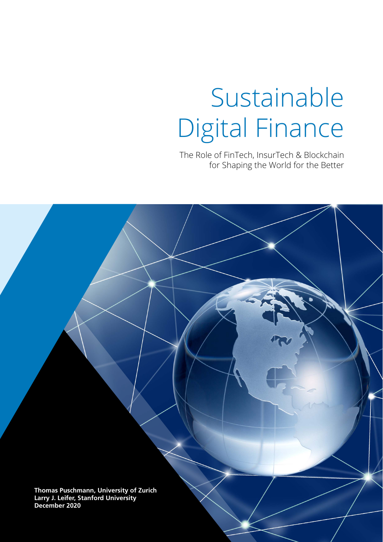# Sustainable Digital Finance

The Role of FinTech, InsurTech & Blockchain for Shaping the World for the Better

**Thomas Puschmann, University of Zurich Larry J. Leifer, Stanford University December 2020**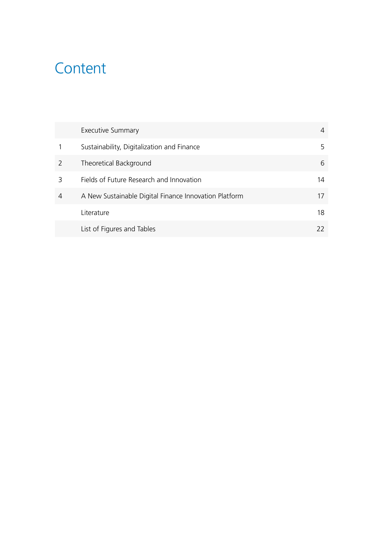### **Content**

|   | <b>Executive Summary</b>                              | 4  |
|---|-------------------------------------------------------|----|
|   | Sustainability, Digitalization and Finance            | 5  |
|   | Theoretical Background                                | 6  |
| 3 | Fields of Future Research and Innovation              | 14 |
| 4 | A New Sustainable Digital Finance Innovation Platform | 17 |
|   | Literature                                            | 18 |
|   | List of Figures and Tables                            | 22 |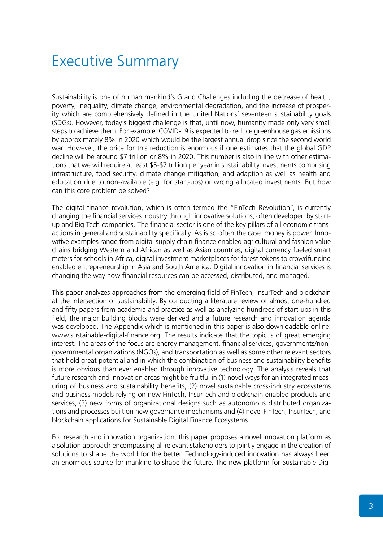### Executive Summary

Sustainability is one of human mankind's Grand Challenges including the decrease of health, poverty, inequality, climate change, environmental degradation, and the increase of prosperity which are comprehensively defined in the United Nations' seventeen sustainability goals (SDGs). However, today's biggest challenge is that, until now, humanity made only very small steps to achieve them. For example, COVID-19 is expected to reduce greenhouse gas emissions by approximately 8% in 2020 which would be the largest annual drop since the second world war. However, the price for this reduction is enormous if one estimates that the global GDP decline will be around \$7 trillion or 8% in 2020. This number is also in line with other estimations that we will require at least \$5-\$7 trillion per year in sustainability investments comprising infrastructure, food security, climate change mitigation, and adaption as well as health and education due to non-available (e.g. for start-ups) or wrong allocated investments. But how can this core problem be solved?

The digital finance revolution, which is often termed the "FinTech Revolution", is currently changing the financial services industry through innovative solutions, often developed by startup and Big Tech companies. The financial sector is one of the key pillars of all economic transactions in general and sustainability specifically. As is so often the case: money is power. Innovative examples range from digital supply chain finance enabled agricultural and fashion value chains bridging Western and African as well as Asian countries, digital currency fueled smart meters for schools in Africa, digital investment marketplaces for forest tokens to crowdfunding enabled entrepreneurship in Asia and South America. Digital innovation in financial services is changing the way how financial resources can be accessed, distributed, and managed.

This paper analyzes approaches from the emerging field of FinTech, InsurTech and blockchain at the intersection of sustainability. By conducting a literature review of almost one-hundred and fifty papers from academia and practice as well as analyzing hundreds of start-ups in this field, the major building blocks were derived and a future research and innovation agenda was developed. The Appendix which is mentioned in this paper is also downloadable online: www.sustainable-digital-finance.org. The results indicate that the topic is of great emerging interest. The areas of the focus are energy management, financial services, governments/nongovernmental organizations (NGOs), and transportation as well as some other relevant sectors that hold great potential and in which the combination of business and sustainability benefits is more obvious than ever enabled through innovative technology. The analysis reveals that future research and innovation areas might be fruitful in (1) novel ways for an integrated measuring of business and sustainability benefits, (2) novel sustainable cross-industry ecosystems and business models relying on new FinTech, InsurTech and blockchain enabled products and services, (3) new forms of organizational designs such as autonomous distributed organizations and processes built on new governance mechanisms and (4) novel FinTech, InsurTech, and blockchain applications for Sustainable Digital Finance Ecosystems.

For research and innovation organization, this paper proposes a novel innovation platform as a solution approach encompassing all relevant stakeholders to jointly engage in the creation of solutions to shape the world for the better. Technology-induced innovation has always been an enormous source for mankind to shape the future. The new platform for Sustainable Dig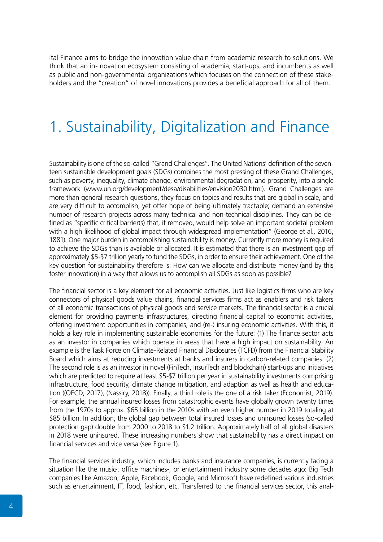ital Finance aims to bridge the innovation value chain from academic research to solutions. We think that an in- novation ecosystem consisting of academia, start-ups, and incumbents as well as public and non-governmental organizations which focuses on the connection of these stakeholders and the "creation" of novel innovations provides a beneficial approach for all of them.

### 1. Sustainability, Digitalization and Finance

Sustainability is one of the so-called "Grand Challenges". The United Nations' definition of the seventeen sustainable development goals (SDGs) combines the most pressing of these Grand Challenges, such as poverty, inequality, climate change, environmental degradation, and prosperity, into a single framework (www.un.org/development/desa/disabilities/envision2030.html). Grand Challenges are more than general research questions, they focus on topics and results that are global in scale, and are very difficult to accomplish, yet offer hope of being ultimately tractable; demand an extensive number of research projects across many technical and non-technical disciplines. They can be defined as "specific critical barrier(s) that, if removed, would help solve an important societal problem with a high likelihood of global impact through widespread implementation" (George et al., 2016, 1881). One major burden in accomplishing sustainability is money. Currently more money is required to achieve the SDGs than is available or allocated. It is estimated that there is an investment gap of approximately \$5-\$7 trillion yearly to fund the SDGs, in order to ensure their achievement. One of the key question for sustainability therefore is: How can we allocate and distribute money (and by this foster innovation) in a way that allows us to accomplish all SDGs as soon as possible?

The financial sector is a key element for all economic activities. Just like logistics firms who are key connectors of physical goods value chains, financial services firms act as enablers and risk takers of all economic transactions of physical goods and service markets. The financial sector is a crucial element for providing payments infrastructures, directing financial capital to economic activities, offering investment opportunities in companies, and (re-) insuring economic activities. With this, it holds a key role in implementing sustainable economies for the future: (1) The finance sector acts as an investor in companies which operate in areas that have a high impact on sustainability. An example is the Task Force on Climate-Related Financial Disclosures (TCFD) from the Financial Stability Board which aims at reducing investments at banks and insurers in carbon-related companies. (2) The second role is as an investor in novel (FinTech, InsurTech and blockchain) start-ups and initiatives which are predicted to require at least \$5-\$7 trillion per year in sustainability investments comprising infrastructure, food security, climate change mitigation, and adaption as well as health and education ((OECD, 2017), (Nassiry, 2018)). Finally, a third role is the one of a risk taker (Economist, 2019). For example, the annual insured losses from catastrophic events have globally grown twenty times from the 1970s to approx. \$65 billion in the 2010s with an even higher number in 2019 totaling at \$85 billion. In addition, the global gap between total insured losses and uninsured losses (so-called protection gap) double from 2000 to 2018 to \$1.2 trillion. Approximately half of all global disasters in 2018 were uninsured. These increasing numbers show that sustainability has a direct impact on financial services and vice versa (see Figure 1).

The financial services industry, which includes banks and insurance companies, is currently facing a situation like the music-, office machines-, or entertainment industry some decades ago: Big Tech companies like Amazon, Apple, Facebook, Google, and Microsoft have redefined various industries such as entertainment, IT, food, fashion, etc. Transferred to the financial services sector, this anal-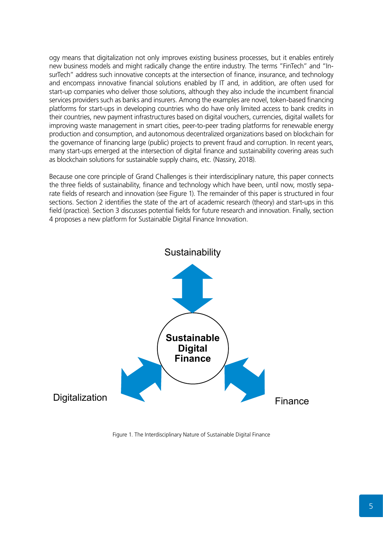ogy means that digitalization not only improves existing business processes, but it enables entirely new business models and might radically change the entire industry. The terms "FinTech" and "InsurTech" address such innovative concepts at the intersection of finance, insurance, and technology and encompass innovative financial solutions enabled by IT and, in addition, are often used for start-up companies who deliver those solutions, although they also include the incumbent financial services providers such as banks and insurers. Among the examples are novel, token-based financing platforms for start-ups in developing countries who do have only limited access to bank credits in their countries, new payment infrastructures based on digital vouchers, currencies, digital wallets for improving waste management in smart cities, peer-to-peer trading platforms for renewable energy production and consumption, and autonomous decentralized organizations based on blockchain for the governance of financing large (public) projects to prevent fraud and corruption. In recent years, many start-ups emerged at the intersection of digital finance and sustainability covering areas such as blockchain solutions for sustainable supply chains, etc. (Nassiry, 2018).

Because one core principle of Grand Challenges is their interdisciplinary nature, this paper connects the three fields of sustainability, finance and technology which have been, until now, mostly separate fields of research and innovation (see Figure 1). The remainder of this paper is structured in four sections. Section 2 identifies the state of the art of academic research (theory) and start-ups in this field (practice). Section 3 discusses potential fields for future research and innovation. Finally, section 4 proposes a new platform for Sustainable Digital Finance Innovation.



Figure 1. The Interdisciplinary Nature of Sustainable Digital Finance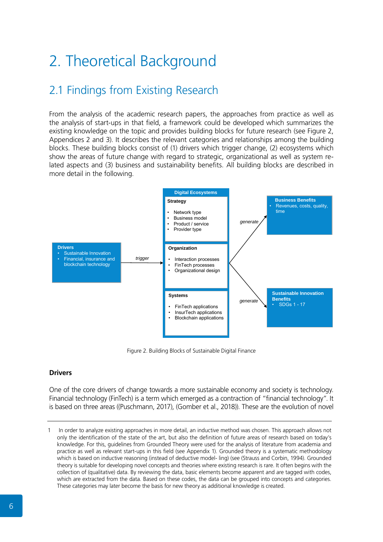## 2. Theoretical Background

### 2.1 Findings from Existing Research

From the analysis of the academic research papers, the approaches from practice as well as the analysis of start-ups in that field, a framework could be developed which summarizes the existing knowledge on the topic and provides building blocks for future research (see Figure 2, Appendices 2 and 3). It describes the relevant categories and relationships among the building blocks. These building blocks consist of (1) drivers which trigger change, (2) ecosystems which show the areas of future change with regard to strategic, organizational as well as system related aspects and (3) business and sustainability benefits. All building blocks are described in more detail in the following.



Figure 2. Building Blocks of Sustainable Digital Finance

#### **Drivers**

One of the core drivers of change towards a more sustainable economy and society is technology. Financial technology (FinTech) is a term which emerged as a contraction of "financial technology". It is based on three areas ((Puschmann, 2017), (Gomber et al., 2018)). These are the evolution of novel

<sup>1</sup> In order to analyze existing approaches in more detail, an inductive method was chosen. This approach allows not only the identification of the state of the art, but also the definition of future areas of research based on today's knowledge. For this, guidelines from Grounded Theory were used for the analysis of literature from academia and practice as well as relevant start-ups in this field (see Appendix 1). Grounded theory is a systematic methodology which is based on inductive reasoning (instead of deductive model- ling) (see (Strauss and Corbin, 1994). Grounded theory is suitable for developing novel concepts and theories where existing research is rare. It often begins with the collection of (qualitative) data. By reviewing the data, basic elements become apparent and are tagged with codes, which are extracted from the data. Based on these codes, the data can be grouped into concepts and categories. These categories may later become the basis for new theory as additional knowledge is created.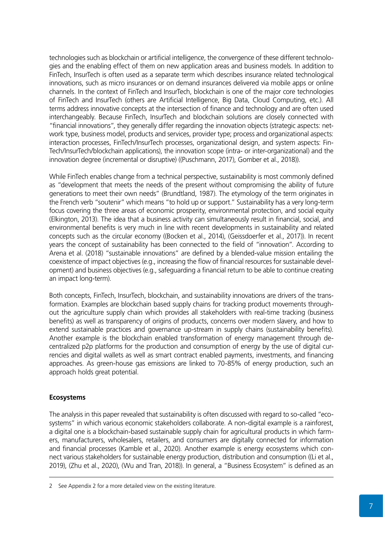technologies such as blockchain or artificial intelligence, the convergence of these different technologies and the enabling effect of them on new application areas and business models. In addition to FinTech, InsurTech is often used as a separate term which describes insurance related technological innovations, such as micro insurances or on demand insurances delivered via mobile apps or online channels. In the context of FinTech and InsurTech, blockchain is one of the major core technologies of FinTech and InsurTech (others are Artificial Intelligence, Big Data, Cloud Computing, etc.). All terms address innovative concepts at the intersection of finance and technology and are often used interchangeably. Because FinTech, InsurTech and blockchain solutions are closely connected with "financial innovations", they generally differ regarding the innovation objects (strategic aspects: network type, business model, products and services, provider type; process and organizational aspects: interaction processes, FinTech/InsurTech processes, organizational design, and system aspects: Fin-Tech/InsurTech/blockchain applications), the innovation scope (intra- or inter-organizational) and the innovation degree (incremental or disruptive) ((Puschmann, 2017), Gomber et al., 2018)).

While FinTech enables change from a technical perspective, sustainability is most commonly defined as "development that meets the needs of the present without compromising the ability of future generations to meet their own needs" (Brundtland, 1987). The etymology of the term originates in the French verb "soutenir" which means "to hold up or support." Sustainability has a very long-term focus covering the three areas of economic prosperity, environmental protection, and social equity (Elkington, 2013). The idea that a business activity can simultaneously result in financial, social, and environmental benefits is very much in line with recent developments in sustainability and related concepts such as the circular economy ((Bocken et al., 2014), (Geissdoerfer et al., 2017)). In recent years the concept of sustainability has been connected to the field of "innovation". According to Arena et al. (2018) "sustainable innovations" are defined by a blended-value mission entailing the coexistence of impact objectives (e.g., increasing the flow of financial resources for sustainable development) and business objectives (e.g., safeguarding a financial return to be able to continue creating an impact long-term).

Both concepts, FinTech, InsurTech, blockchain, and sustainability innovations are drivers of the transformation. Examples are blockchain based supply chains for tracking product movements throughout the agriculture supply chain which provides all stakeholders with real-time tracking (business benefits) as well as transparency of origins of products, concerns over modern slavery, and how to extend sustainable practices and governance up-stream in supply chains (sustainability benefits). Another example is the blockchain enabled transformation of energy management through decentralized p2p platforms for the production and consumption of energy by the use of digital currencies and digital wallets as well as smart contract enabled payments, investments, and financing approaches. As green-house gas emissions are linked to 70-85% of energy production, such an approach holds great potential.

#### **Ecosystems**

The analysis in this paper revealed that sustainability is often discussed with regard to so-called "ecosystems" in which various economic stakeholders collaborate. A non-digital example is a rainforest, a digital one is a blockchain-based sustainable supply chain for agricultural products in which farmers, manufacturers, wholesalers, retailers, and consumers are digitally connected for information and financial processes (Kamble et al., 2020). Another example is energy ecosystems which connect various stakeholders for sustainable energy production, distribution and consumption ((Li et al., 2019), (Zhu et al., 2020), (Wu and Tran, 2018)). In general, a "Business Ecosystem" is defined as an

<sup>2</sup> See Appendix 2 for a more detailed view on the existing literature.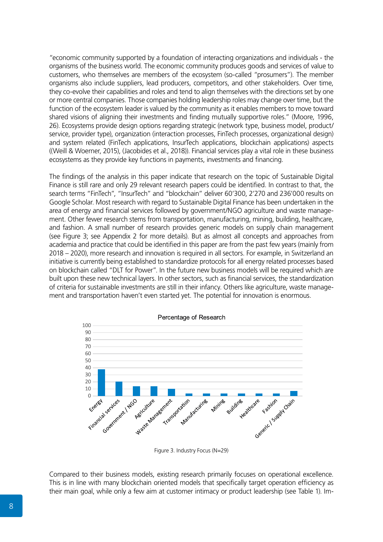"economic community supported by a foundation of interacting organizations and individuals - the organisms of the business world. The economic community produces goods and services of value to customers, who themselves are members of the ecosystem (so-called "prosumers"). The member organisms also include suppliers, lead producers, competitors, and other stakeholders. Over time, they co-evolve their capabilities and roles and tend to align themselves with the directions set by one or more central companies. Those companies holding leadership roles may change over time, but the function of the ecosystem leader is valued by the community as it enables members to move toward shared visions of aligning their investments and finding mutually supportive roles." (Moore, 1996, 26). Ecosystems provide design options regarding strategic (network type, business model, product/ service, provider type), organization (interaction processes, FinTech processes, organizational design) and system related (FinTech applications, InsurTech applications, blockchain applications) aspects ((Weill & Woerner, 2015), (Jacobides et al., 2018)). Financial services play a vital role in these business ecosystems as they provide key functions in payments, investments and financing.

The findings of the analysis in this paper indicate that research on the topic of Sustainable Digital Finance is still rare and only 29 relevant research papers could be identified. In contrast to that, the search terms "FinTech", "InsurTech" and "blockchain" deliver 60'300, 2'270 and 236'000 results on Google Scholar. Most research with regard to Sustainable Digital Finance has been undertaken in the area of energy and financial services followed by government/NGO agriculture and waste management. Other fewer research stems from transportation, manufacturing, mining, building, healthcare, and fashion. A small number of research provides generic models on supply chain management (see Figure 3; see Appendix 2 for more details). But as almost all concepts and approaches from academia and practice that could be identified in this paper are from the past few years (mainly from 2018 – 2020), more research and innovation is required in all sectors. For example, in Switzerland an initiative is currently being established to standardize protocols for all energy related processes based on blockchain called "DLT for Power". In the future new business models will be required which are built upon these new technical layers. In other sectors, such as financial services, the standardization of criteria for sustainable investments are still in their infancy. Others like agriculture, waste management and transportation haven't even started yet. The potential for innovation is enormous.



Figure 3. Industry Focus (N=29)

Compared to their business models, existing research primarily focuses on operational excellence. This is in line with many blockchain oriented models that specifically target operation efficiency as their main goal, while only a few aim at customer intimacy or product leadership (see Table 1). Im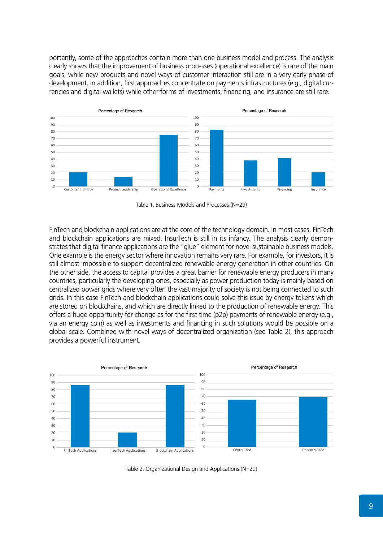portantly, some of the approaches contain more than one business model and process. The analysis clearly shows that the improvement of business processes (operational excellence) is one of the main goals, while new products and novel ways of customer interaction still are in a very early phase of development. In addition, first approaches concentrate on payments infrastructures (e.g., digital currencies and digital wallets) while other forms of investments, financing, and insurance are still rare.



Table 1. Business Models and Processes (N=29)

FinTech and blockchain applications are at the core of the technology domain. In most cases, FinTech and blockchain applications are mixed. InsurTech is still in its infancy. The analysis clearly demonstrates that digital finance applications are the "glue" element for novel sustainable business models. One example is the energy sector where innovation remains very rare. For example, for investors, it is still almost impossible to support decentralized renewable energy generation in other countries. On the other side, the access to capital provides a great barrier for renewable energy producers in many countries, particularly the developing ones, especially as power production today is mainly based on centralized power grids where very often the vast majority of society is not being connected to such grids. In this case FinTech and blockchain applications could solve this issue by energy tokens which are stored on blockchains, and which are directly linked to the production of renewable energy. This offers a huge opportunity for change as for the first time (p2p) payments of renewable energy (e.g., via an energy coin) as well as investments and financing in such solutions would be possible on a global scale. Combined with novel ways of decentralized organization (see Table 2), this approach provides a powerful instrument.



Table 2. Organizational Design and Applications (N=29)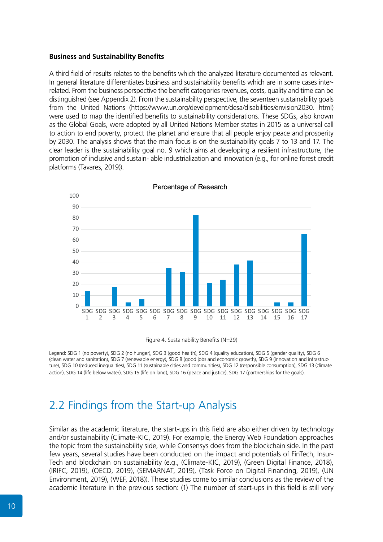#### **Business and Sustainability Benefits**

A third field of results relates to the benefits which the analyzed literature documented as relevant. In general literature differentiates business and sustainability benefits which are in some cases interrelated. From the business perspective the benefit categories revenues, costs, quality and time can be distinguished (see Appendix 2). From the sustainability perspective, the seventeen sustainability goals from the United Nations (https://www.un.org/development/desa/disabilities/envision2030. html) were used to map the identified benefits to sustainability considerations. These SDGs, also known as the Global Goals, were adopted by all United Nations Member states in 2015 as a universal call to action to end poverty, protect the planet and ensure that all people enjoy peace and prosperity by 2030. The analysis shows that the main focus is on the sustainability goals 7 to 13 and 17. The clear leader is the sustainability goal no. 9 which aims at developing a resilient infrastructure, the promotion of inclusive and sustain- able industrialization and innovation (e.g., for online forest credit platforms (Tavares, 2019)).



Percentage of Research

Figure 4. Sustainability Benefits (N=29)

Legend: SDG 1 (no poverty), SDG 2 (no hunger), SDG 3 (good health), SDG 4 (quality education), SDG 5 (gender quality), SDG 6 (clean water and sanitation), SDG 7 (renewable energy), SDG 8 (good jobs and economic growth), SDG 9 (innovation and infrastructure), SDG 10 (reduced inequalities), SDG 11 (sustainable cities and communities), SDG 12 (responsible consumption), SDG 13 (climate action), SDG 14 (life below water), SDG 15 (life on land), SDG 16 (peace and justice), SDG 17 (partnerships for the goals).

### 2.2 Findings from the Start-up Analysis

Similar as the academic literature, the start-ups in this field are also either driven by technology and/or sustainability (Climate-KIC, 2019). For example, the Energy Web Foundation approaches the topic from the sustainability side, while Consensys does from the blockchain side. In the past few years, several studies have been conducted on the impact and potentials of FinTech, Insur-Tech and blockchain on sustainability (e.g., (Climate-KIC, 2019), (Green Digital Finance, 2018), (IRIFC, 2019), (OECD, 2019), (SEMARNAT, 2019), (Task Force on Digital Financing, 2019), (UN Environment, 2019), (WEF, 2018)). These studies come to similar conclusions as the review of the academic literature in the previous section: (1) The number of start-ups in this field is still very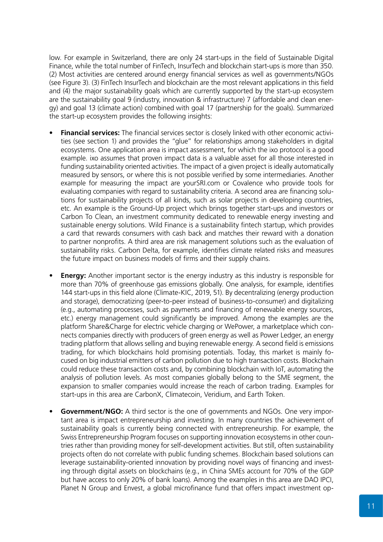low. For example in Switzerland, there are only 24 start-ups in the field of Sustainable Digital Finance, while the total number of FinTech, InsurTech and blockchain start-ups is more than 350. (2) Most activities are centered around energy financial services as well as governments/NGOs (see Figure 3). (3) FinTech InsurTech and blockchain are the most relevant applications in this field and (4) the major sustainability goals which are currently supported by the start-up ecosystem are the sustainability goal 9 (industry, innovation & infrastructure) 7 (affordable and clean energy) and goal 13 (climate action) combined with goal 17 (partnership for the goals). Summarized the start-up ecosystem provides the following insights:

- **• Financial services:** The financial services sector is closely linked with other economic activities (see section 1) and provides the "glue" for relationships among stakeholders in digital ecosystems. One application area is impact assessment, for which the ixo protocol is a good example. ixo assumes that proven impact data is a valuable asset for all those interested in funding sustainability oriented activities. The impact of a given project is ideally automatically measured by sensors, or where this is not possible verified by some intermediaries. Another example for measuring the impact are yourSRI.com or Covalence who provide tools for evaluating companies with regard to sustainability criteria. A second area are financing solutions for sustainability projects of all kinds, such as solar projects in developing countries, etc. An example is the Ground-Up project which brings together start-ups and investors or Carbon To Clean, an investment community dedicated to renewable energy investing and sustainable energy solutions. Wild Finance is a sustainability fintech startup, which provides a card that rewards consumers with cash back and matches their reward with a donation to partner nonprofits. A third area are risk management solutions such as the evaluation of sustainability risks. Carbon Delta, for example, identifies climate related risks and measures the future impact on business models of firms and their supply chains.
- **Energy:** Another important sector is the energy industry as this industry is responsible for more than 70% of greenhouse gas emissions globally. One analysis, for example, identifies 144 start-ups in this field alone (Climate-KIC, 2019, 51). By decentralizing (energy production and storage), democratizing (peer-to-peer instead of business-to-consumer) and digitalizing (e.g., automating processes, such as payments and financing of renewable energy sources, etc.) energy management could significantly be improved. Among the examples are the platform Share&Charge for electric vehicle charging or WePower, a marketplace which connects companies directly with producers of green energy as well as Power Ledger, an energy trading platform that allows selling and buying renewable energy. A second field is emissions trading, for which blockchains hold promising potentials. Today, this market is mainly focused on big industrial emitters of carbon pollution due to high transaction costs. Blockchain could reduce these transaction costs and, by combining blockchain with IoT, automating the analysis of pollution levels. As most companies globally belong to the SME segment, the expansion to smaller companies would increase the reach of carbon trading. Examples for start-ups in this area are CarbonX, Climatecoin, Veridium, and Earth Token.
- **• Government/NGO:** A third sector is the one of governments and NGOs. One very important area is impact entrepreneurship and investing. In many countries the achievement of sustainability goals is currently being connected with entrepreneurship. For example, the Swiss Entrepreneurship Program focuses on supporting innovation ecosystems in other countries rather than providing money for self-development activities. But still, often sustainability projects often do not correlate with public funding schemes. Blockchain based solutions can leverage sustainability-oriented innovation by providing novel ways of financing and investing through digital assets on blockchains (e.g., in China SMEs account for 70% of the GDP but have access to only 20% of bank loans). Among the examples in this area are DAO IPCI, Planet N Group and Envest, a global microfinance fund that offers impact investment op-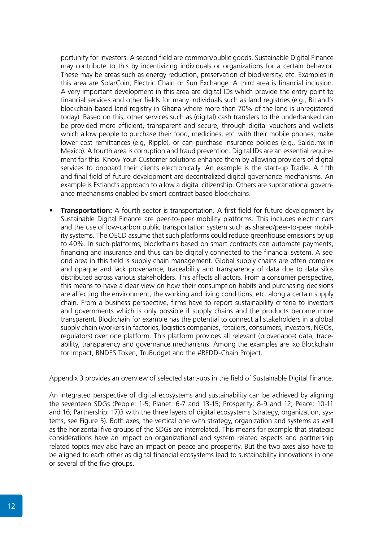portunity for investors. A second field are common/public goods. Sustainable Digital Finance may contribute to this by incentivizing individuals or organizations for a certain behavior. These may be areas such as energy reduction, preservation of biodiversity, etc. Examples in this area are SolarCoin, Electric Chain or Sun Exchange. A third area is financial inclusion. A very important development in this area are digital IDs which provide the entry point to financial services and other fields for many individuals such as land registries (e.g., Bitland's blockchain-based land registry in Ghana where more than 70% of the land is unregistered today). Based on this, other services such as (digital) cash transfers to the underbanked can be provided more efficient, transparent and secure, through digital vouchers and wallets which allow people to purchase their food, medicines, etc. with their mobile phones, make lower cost remittances (e.g, Ripple), or can purchase insurance policies (e.g., Saldo.mx in Mexico). A fourth area is corruption and fraud prevention. Digital IDs are an essential requirement for this. Know-Your-Customer solutions enhance them by allowing providers of digital services to onboard their clients electronically. An example is the start-up Tradle. A fifth and final field of future development are decentralized digital governance mechanisms. An example is Estland's approach to allow a digital citizenship. Others are supranational governance mechanisms enabled by smart contract based blockchains.

**Transportation:** A fourth sector is transportation. A first field for future development by Sustainable Digital Finance are peer-to-peer mobility platforms. This includes electric cars and the use of low-carbon public transportation system such as shared/peer-to-peer mobility systems. The OECD assume that such platforms could reduce greenhouse emissions by up to 40%. In such platforms, blockchains based on smart contracts can automate payments, financing and insurance and thus can be digitally connected to the financial system. A second area in this field is supply chain management. Global supply chains are often complex and opaque and lack provenance, traceability and transparency of data due to data silos distributed across various stakeholders. This affects all actors. From a consumer perspective, this means to have a clear view on how their consumption habits and purchasing decisions are affecting the environment, the working and living conditions, etc. along a certain supply chain. From a business perspective, firms have to report sustainability criteria to investors and governments which is only possible if supply chains and the products become more transparent. Blockchain for example has the potential to connect all stakeholders in a global supply chain (workers in factories, logistics companies, retailers, consumers, investors, NGOs, regulators) over one platform. This platform provides all relevant (provenance) data, traceability, transparency and governance mechanisms. Among the examples are ixo Blockchain for Impact, BNDES Token, TruBudget and the #REDD-Chain Project.

Appendix 3 provides an overview of selected start-ups in the field of Sustainable Digital Finance.

An integrated perspective of digital ecosystems and sustainability can be achieved by aligning the seventeen SDGs (People: 1-5; Planet: 6-7 and 13-15; Prosperity: 8-9 and 12; Peace: 10-11 and 16; Partnership: 17)3 with the three layers of digital ecosystems (strategy, organization, systems, see Figure 5). Both axes, the vertical one with strategy, organization and systems as well as the horizontal five groups of the SDGs are interrelated. This means for example that strategic considerations have an impact on organizational and system related aspects and partnership related topics may also have an impact on peace and prosperity. But the two axes also have to be aligned to each other as digital financial ecosystems lead to sustainability innovations in one or several of the five groups.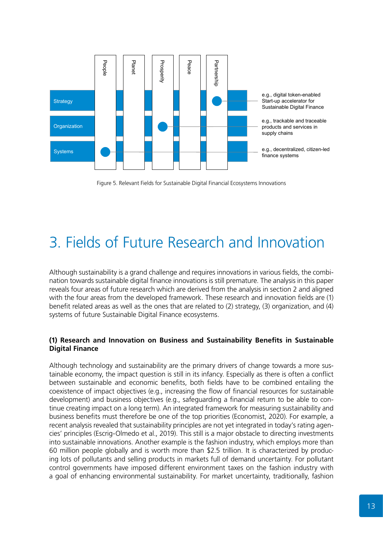

Figure 5. Relevant Fields for Sustainable Digital Financial Ecosystems Innovations

### 3. Fields of Future Research and Innovation

Although sustainability is a grand challenge and requires innovations in various fields, the combination towards sustainable digital finance innovations is still premature. The analysis in this paper reveals four areas of future research which are derived from the analysis in section 2 and aligned with the four areas from the developed framework. These research and innovation fields are (1) benefit related areas as well as the ones that are related to (2) strategy, (3) organization, and (4) systems of future Sustainable Digital Finance ecosystems.

#### **(1) Research and Innovation on Business and Sustainability Benefits in Sustainable Digital Finance**

Although technology and sustainability are the primary drivers of change towards a more sustainable economy, the impact question is still in its infancy. Especially as there is often a conflict between sustainable and economic benefits, both fields have to be combined entailing the coexistence of impact objectives (e.g., increasing the flow of financial resources for sustainable development) and business objectives (e.g., safeguarding a financial return to be able to continue creating impact on a long term). An integrated framework for measuring sustainability and business benefits must therefore be one of the top priorities (Economist, 2020). For example, a recent analysis revealed that sustainability principles are not yet integrated in today's rating agencies' principles (Escrig-Olmedo et al., 2019). This still is a major obstacle to directing investments into sustainable innovations. Another example is the fashion industry, which employs more than 60 million people globally and is worth more than \$2.5 trillion. It is characterized by producing lots of pollutants and selling products in markets full of demand uncertainty. For pollutant control governments have imposed different environment taxes on the fashion industry with a goal of enhancing environmental sustainability. For market uncertainty, traditionally, fashion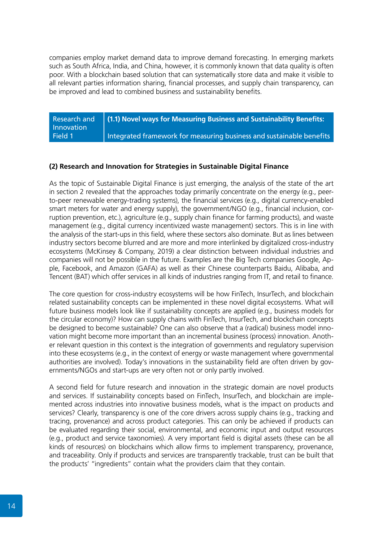companies employ market demand data to improve demand forecasting. In emerging markets such as South Africa, India, and China, however, it is commonly known that data quality is often poor. With a blockchain based solution that can systematically store data and make it visible to all relevant parties information sharing, financial processes, and supply chain transparency, can be improved and lead to combined business and sustainability benefits.

| Research and | (1.1) Novel ways for Measuring Business and Sustainability Benefits: |
|--------------|----------------------------------------------------------------------|
| Innovation   |                                                                      |
| Field 1      | Integrated framework for measuring business and sustainable benefits |

#### **(2) Research and Innovation for Strategies in Sustainable Digital Finance**

As the topic of Sustainable Digital Finance is just emerging, the analysis of the state of the art in section 2 revealed that the approaches today primarily concentrate on the energy (e.g., peerto-peer renewable energy-trading systems), the financial services (e.g., digital currency-enabled smart meters for water and energy supply), the government/NGO (e.g., financial inclusion, corruption prevention, etc.), agriculture (e.g., supply chain finance for farming products), and waste management (e.g., digital currency incentivized waste management) sectors. This is in line with the analysis of the start-ups in this field, where these sectors also dominate. But as lines between industry sectors become blurred and are more and more interlinked by digitalized cross-industry ecosystems (McKinsey & Company, 2019) a clear distinction between individual industries and companies will not be possible in the future. Examples are the Big Tech companies Google, Apple, Facebook, and Amazon (GAFA) as well as their Chinese counterparts Baidu, Alibaba, and Tencent (BAT) which offer services in all kinds of industries ranging from IT, and retail to finance.

The core question for cross-industry ecosystems will be how FinTech, InsurTech, and blockchain related sustainability concepts can be implemented in these novel digital ecosystems. What will future business models look like if sustainability concepts are applied (e.g., business models for the circular economy)? How can supply chains with FinTech, InsurTech, and blockchain concepts be designed to become sustainable? One can also observe that a (radical) business model innovation might become more important than an incremental business (process) innovation. Another relevant question in this context is the integration of governments and regulatory supervision into these ecosystems (e.g., in the context of energy or waste management where governmental authorities are involved). Today's innovations in the sustainability field are often driven by governments/NGOs and start-ups are very often not or only partly involved.

A second field for future research and innovation in the strategic domain are novel products and services. If sustainability concepts based on FinTech, InsurTech, and blockchain are implemented across industries into innovative business models, what is the impact on products and services? Clearly, transparency is one of the core drivers across supply chains (e.g., tracking and tracing, provenance) and across product categories. This can only be achieved if products can be evaluated regarding their social, environmental, and economic input and output resources (e.g., product and service taxonomies). A very important field is digital assets (these can be all kinds of resources) on blockchains which allow firms to implement transparency, provenance, and traceability. Only if products and services are transparently trackable, trust can be built that the products' "ingredients" contain what the providers claim that they contain.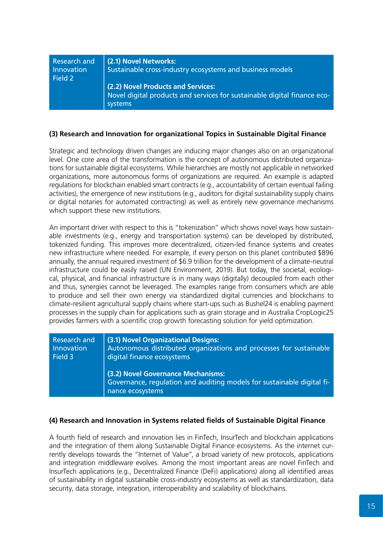| <b>Research and</b><br>Innovation<br>Field 2 | (2.1) Novel Networks:<br>Sustainable cross-industry ecosystems and business models                                        |
|----------------------------------------------|---------------------------------------------------------------------------------------------------------------------------|
|                                              | (2.2) Novel Products and Services:<br>Novel digital products and services for sustainable digital finance eco-<br>systems |

#### **(3) Research and Innovation for organizational Topics in Sustainable Digital Finance**

Strategic and technology driven changes are inducing major changes also on an organizational level. One core area of the transformation is the concept of autonomous distributed organizations for sustainable digital ecosystems. While hierarchies are mostly not applicable in networked organizations, more autonomous forms of organizations are required. An example is adapted regulations for blockchain enabled smart contracts (e.g., accountability of certain eventual failing activities), the emergence of new institutions (e.g., auditors for digital sustainability supply chains or digital notaries for automated contracting) as well as entirely new governance mechanisms which support these new institutions.

An important driver with respect to this is "tokenization" which shows novel ways how sustainable investments (e.g., energy and transportation systems) can be developed by distributed, tokenized funding. This improves more decentralized, citizen-led finance systems and creates new infrastructure where needed. For example, if every person on this planet contributed \$896 annually, the annual required investment of \$6.9 trillion for the development of a climate-neutral infrastructure could be easily raised (UN Environment, 2019). But today, the societal, ecological, physical, and financial infrastructure is in many ways (digitally) decoupled from each other and thus, synergies cannot be leveraged. The examples range from consumers which are able to produce and sell their own energy via standardized digital currencies and blockchains to climate-resilient agricultural supply chains where start-ups such as Bushel24 is enabling payment processes in the supply chain for applications such as grain storage and in Australia CropLogic25 provides farmers with a scientific crop growth forecasting solution for yield optimization.

| Research and | (3.1) Novel Organizational Designs:                                                                                              |
|--------------|----------------------------------------------------------------------------------------------------------------------------------|
| Innovation   | Autonomous distributed organizations and processes for sustainable                                                               |
| Field 3      | digital finance ecosystems                                                                                                       |
|              | (3.2) Novel Governance Mechanisms:<br>Governance, regulation and auditing models for sustainable digital fi-<br>nance ecosystems |

#### **(4) Research and Innovation in Systems related fields of Sustainable Digital Finance**

A fourth field of research and innovation lies in FinTech, InsurTech and blockchain applications and the integration of them along Sustainable Digital Finance ecosystems. As the internet currently develops towards the "Internet of Value", a broad variety of new protocols, applications and integration middleware evolves. Among the most important areas are novel FinTech and InsurTech applications (e.g., Decentralized Finance (DeFi) applications) along all identified areas of sustainability in digital sustainable cross-industry ecosystems as well as standardization, data security, data storage, integration, interoperability and scalability of blockchains.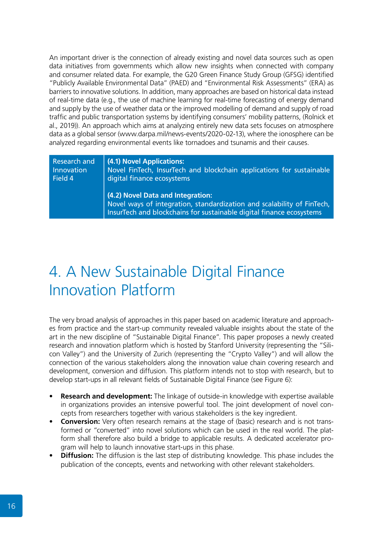An important driver is the connection of already existing and novel data sources such as open data initiatives from governments which allow new insights when connected with company and consumer related data. For example, the G20 Green Finance Study Group (GFSG) identified "Publicly Available Environmental Data" (PAED) and "Environmental Risk Assessments" (ERA) as barriers to innovative solutions. In addition, many approaches are based on historical data instead of real-time data (e.g., the use of machine learning for real-time forecasting of energy demand and supply by the use of weather data or the improved modelling of demand and supply of road traffic and public transportation systems by identifying consumers' mobility patterns, (Rolnick et al., 2019)). An approach which aims at analyzing entirely new data sets focuses on atmosphere data as a global sensor (www.darpa.mil/news-events/2020-02-13), where the ionosphere can be analyzed regarding environmental events like tornadoes and tsunamis and their causes.

| Research and | (4.1) Novel Applications:                                                                                                                                                           |
|--------------|-------------------------------------------------------------------------------------------------------------------------------------------------------------------------------------|
| Innovation   | Novel FinTech, InsurTech and blockchain applications for sustainable                                                                                                                |
| Field 4      | digital finance ecosystems                                                                                                                                                          |
|              | (4.2) Novel Data and Integration:<br>Novel ways of integration, standardization and scalability of FinTech,<br>InsurTech and blockchains for sustainable digital finance ecosystems |

### 4. A New Sustainable Digital Finance Innovation Platform

The very broad analysis of approaches in this paper based on academic literature and approaches from practice and the start-up community revealed valuable insights about the state of the art in the new discipline of "Sustainable Digital Finance". This paper proposes a newly created research and innovation platform which is hosted by Stanford University (representing the "Silicon Valley") and the University of Zurich (representing the "Crypto Valley") and will allow the connection of the various stakeholders along the innovation value chain covering research and development, conversion and diffusion. This platform intends not to stop with research, but to develop start-ups in all relevant fields of Sustainable Digital Finance (see Figure 6):

- **• Research and development:** The linkage of outside-in knowledge with expertise available in organizations provides an intensive powerful tool. The joint development of novel concepts from researchers together with various stakeholders is the key ingredient.
- **• Conversion:** Very often research remains at the stage of (basic) research and is not transformed or "converted" into novel solutions which can be used in the real world. The platform shall therefore also build a bridge to applicable results. A dedicated accelerator program will help to launch innovative start-ups in this phase.
- **• Diffusion:** The diffusion is the last step of distributing knowledge. This phase includes the publication of the concepts, events and networking with other relevant stakeholders.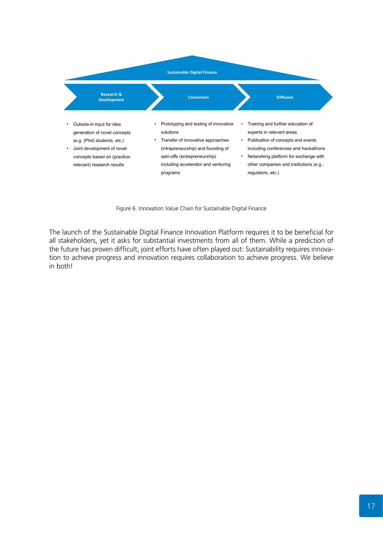

Figure 6. Innovation Value Chain for Sustainable Digital Finance

The launch of the Sustainable Digital Finance Innovation Platform requires it to be beneficial for all stakeholders, yet it asks for substantial investments from all of them. While a prediction of the future has proven difficult, joint efforts have often played out: Sustainability requires innovation to achieve progress and innovation requires collaboration to achieve progress. We believe in both!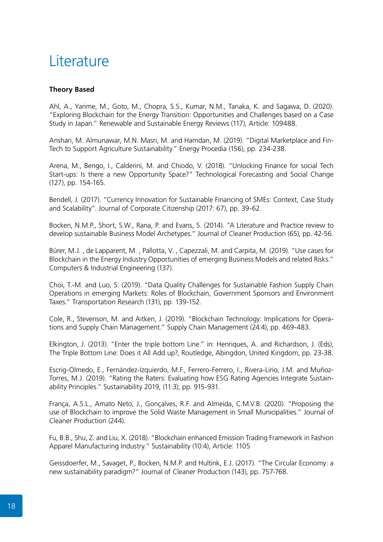### Literature

#### **Theory Based**

Ahl, A., Yarime, M., Goto, M., Chopra, S.S., Kumar, N.M., Tanaka, K. and Sagawa, D. (2020). "Exploring Blockchain for the Energy Transition: Opportunities and Challenges based on a Case Study in Japan." Renewable and Sustainable Energy Reviews (117), Article: 109488.

Anshari, M. Almunawar, M.N. Masri, M. and Hamdan, M. (2019). "Digital Marketplace and Fin-Tech to Support Agriculture Sustainability." Energy Procedia (156), pp. 234-238.

Arena, M., Bengo, I., Calderini, M. and Chiodo, V. (2018). "Unlocking Finance for social Tech Start-ups: Is there a new Opportunity Space?" Technological Forecasting and Social Change (127), pp. 154-165.

Bendell, J. (2017). "Currency Innovation for Sustainable Financing of SMEs: Context, Case Study and Scalability". Journal of Corporate Citizenship (2017: 67), pp. 39-62.

Bocken, N.M.P., Short, S.W., Rana, P. and Evans, S. (2014). "A Literature and Practice review to develop sustainable Business Model Archetypes." Journal of Cleaner Production (65), pp. 42-56.

Bürer, M.J. , de Lapparent, M. , Pallotta, V. , Capezzali, M. and Carpita, M. (2019). "Use cases for Blockchain in the Energy Industry Opportunities of emerging Business Models and related Risks." Computers & Industrial Engineering (137).

Choi, T.-M. and Luo, S. (2019). "Data Quality Challenges for Sustainable Fashion Supply Chain Operations in emerging Markets: Roles of Blockchain, Government Sponsors and Environment Taxes." Transportation Research (131), pp. 139-152.

Cole, R., Stevenson, M. and Aitken, J. (2019). "Blockchain Technology: Implications for Operations and Supply Chain Management." Supply Chain Management (24:4), pp. 469-483.

Elkington, J. (2013). "Enter the triple bottom Line." in: Henriques, A. and Richardson, J. (Eds), The Triple Bottom Line: Does it All Add up?, Routledge, Abingdon, United Kingdom, pp. 23-38.

Escrig-Olmedo, E., Fernández-Izquierdo, M.F., Ferrero-Ferrero, I., Rivera-Lirio, J.M. and Muñoz-Torres, M.J. (2019). "Rating the Raters: Evaluating how ESG Rating Agencies Integrate Sustainability Principles." Sustainability 2019, (11:3), pp. 915-931.

França, A.S.L., Amato Neto, J., Gonçalves, R.F. and Almeida, C.M.V.B. (2020). "Proposing the use of Blockchain to improve the Solid Waste Management in Small Municipalities." Journal of Cleaner Production (244).

Fu, B.B., Shu, Z. and Liu, X. (2018). "Blockchain enhanced Emission Trading Framework in Fashion Apparel Manufacturing Industry." Sustainability (10:4), Article: 1105

Geissdoerfer, M., Savaget, P., Bocken, N.M.P. and Hultink, E.J. (2017). "The Circular Economy: a new sustainability paradigm?" Journal of Cleaner Production (143), pp. 757-768.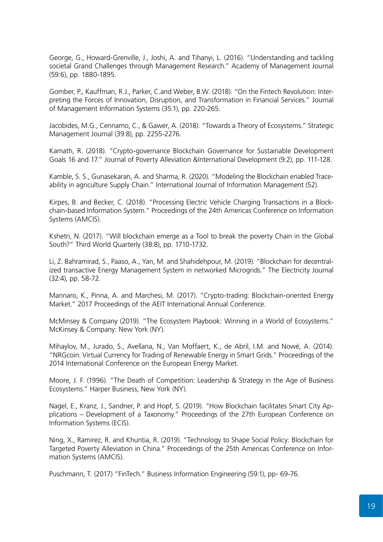George, G., Howard-Grenville, J., Joshi, A. and Tihanyi, L. (2016). "Understanding and tackling societal Grand Challenges through Management Research." Academy of Management Journal (59:6), pp. 1880-1895.

Gomber, P., Kauffman, R.J., Parker, C.and Weber, B.W. (2018). "On the Fintech Revolution: Interpreting the Forces of Innovation, Disruption, and Transformation in Financial Services." Journal of Management Information Systems (35:1), pp. 220-265.

Jacobides, M.G., Cennamo, C., & Gawer, A. (2018). "Towards a Theory of Ecosystems." Strategic Management Journal (39:8), pp. 2255-2276.

Kamath, R. (2018). "Crypto-governance Blockchain Governance for Sustainable Development Goals 16 and 17." Journal of Poverty Alleviation &International Development (9:2), pp. 111-128.

Kamble, S. S., Gunasekaran, A. and Sharma, R. (2020). "Modeling the Blockchain enabled Traceability in agriculture Supply Chain." International Journal of Information Management (52).

Kirpes, B. and Becker, C. (2018). "Processing Electric Vehicle Charging Transactions in a Blockchain-based Information System." Proceedings of the 24th Americas Conference on Information Systems (AMCIS).

Kshetri, N. (2017). "Will blockchain emerge as a Tool to break the poverty Chain in the Global South?" Third World Quarterly (38:8), pp. 1710-1732.

Li, Z. Bahramirad, S., Paaso, A., Yan, M. and Shahidehpour, M. (2019). "Blockchain for decentralized transactive Energy Management System in networked Microgrids." The Electricity Journal (32:4), pp. 58-72.

Mannaro, K., Pinna, A. and Marchesi, M. (2017). "Crypto-trading: Blockchain-oriented Energy Market." 2017 Proceedings of the AEIT International Annual Conference.

McMinsey & Company (2019). "The Ecosystem Playbook: Winning in a World of Ecosystems." McKinsey & Company: New York (NY).

Mihaylov, M., Jurado, S., Avellana, N., Van Moffaert, K., de Abril, I.M. and Nowé, A. (2014). "NRGcoin: Virtual Currency for Trading of Renewable Energy in Smart Grids." Proceedings of the 2014 International Conference on the European Energy Market.

Moore, J. F. (1996). "The Death of Competition: Leadership & Strategy in the Age of Business Ecosystems." Harper Business, New York (NY).

Nagel, E., Kranz, J., Sandner, P. and Hopf, S. (2019). "How Blockchain facilitates Smart City Applications – Development of a Taxonomy." Proceedings of the 27th European Conference on Information Systems (ECIS).

Ning, X., Ramirez, R. and Khuntia, R. (2019). "Technology to Shape Social Policy: Blockchain for Targeted Poverty Alleviation in China." Proceedings of the 25th Americas Conference on Information Systems (AMCIS).

Puschmann, T. (2017) "FinTech." Business Information Engineering (59:1), pp- 69-76.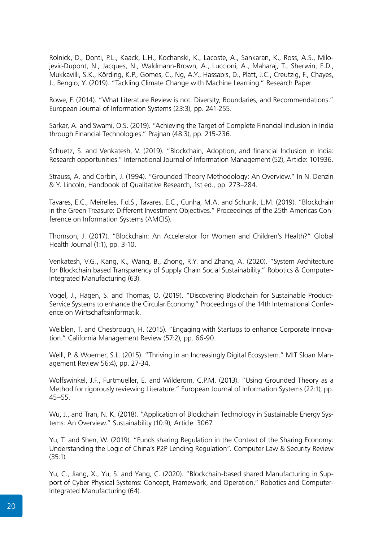Rolnick, D., Donti, P.L., Kaack, L.H., Kochanski, K., Lacoste, A., Sankaran, K., Ross, A.S., Milojevic-Dupont, N., Jacques, N., Waldmann-Brown, A., Luccioni, A., Maharaj, T., Sherwin, E.D., Mukkavilli, S.K., Körding, K.P., Gomes, C., Ng, A.Y., Hassabis, D., Platt, J.C., Creutzig, F., Chayes, J., Bengio, Y. (2019). "Tackling Climate Change with Machine Learning." Research Paper.

Rowe, F. (2014). "What Literature Review is not: Diversity, Boundaries, and Recommendations." European Journal of Information Systems (23:3), pp. 241-255.

Sarkar, A. and Swami, O.S. (2019). "Achieving the Target of Complete Financial Inclusion in India through Financial Technologies." Prajnan (48:3), pp. 215-236.

Schuetz, S. and Venkatesh, V. (2019). "Blockchain, Adoption, and financial Inclusion in India: Research opportunities." International Journal of Information Management (52), Article: 101936.

Strauss, A. and Corbin, J. (1994). "Grounded Theory Methodology: An Overview." In N. Denzin & Y. Lincoln, Handbook of Qualitative Research, 1st ed., pp. 273–284.

Tavares, E.C., Meirelles, F.d.S., Tavares, E.C., Cunha, M.A. and Schunk, L.M. (2019). "Blockchain in the Green Treasure: Different Investment Objectives." Proceedings of the 25th Americas Conference on Information Systems (AMCIS).

Thomson, J. (2017). "Blockchain: An Accelerator for Women and Children's Health?" Global Health Journal (1:1), pp. 3-10.

Venkatesh, V.G., Kang, K., Wang, B., Zhong, R.Y. and Zhang, A. (2020). "System Architecture for Blockchain based Transparency of Supply Chain Social Sustainability." Robotics & Computer-Integrated Manufacturing (63).

Vogel, J., Hagen, S. and Thomas, O. (2019). "Discovering Blockchain for Sustainable Product-Service Systems to enhance the Circular Economy." Proceedings of the 14th International Conference on Wirtschaftsinformatik.

Weiblen, T. and Chesbrough, H. (2015). "Engaging with Startups to enhance Corporate Innovation." California Management Review (57:2), pp. 66-90.

Weill, P. & Woerner, S.L. (2015). "Thriving in an Increasingly Digital Ecosystem." MIT Sloan Management Review 56:4), pp. 27-34.

Wolfswinkel, J.F., Furtmueller, E. and Wilderom, C.P.M. (2013). "Using Grounded Theory as a Method for rigorously reviewing Literature." European Journal of Information Systems (22:1), pp. 45–55.

Wu, J., and Tran, N. K. (2018). "Application of Blockchain Technology in Sustainable Energy Systems: An Overview." Sustainability (10:9), Article: 3067.

Yu, T. and Shen, W. (2019). "Funds sharing Regulation in the Context of the Sharing Economy: Understanding the Logic of China's P2P Lending Regulation". Computer Law & Security Review (35:1).

Yu, C., Jiang, X., Yu, S. and Yang, C. (2020). "Blockchain-based shared Manufacturing in Support of Cyber Physical Systems: Concept, Framework, and Operation." Robotics and Computer-Integrated Manufacturing (64).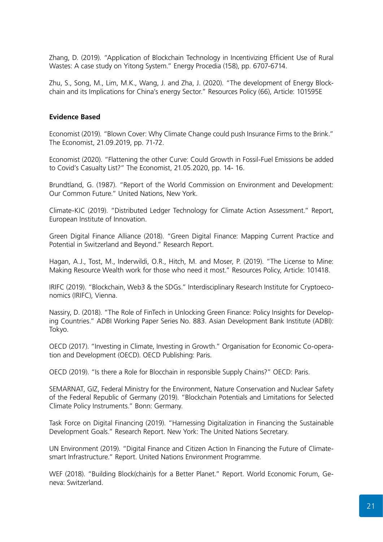Zhang, D. (2019). "Application of Blockchain Technology in Incentivizing Efficient Use of Rural Wastes: A case study on Yitong System." Energy Procedia (158), pp. 6707-6714.

Zhu, S., Song, M., Lim, M.K., Wang, J. and Zha, J. (2020). "The development of Energy Blockchain and its Implications for China's energy Sector." Resources Policy (66), Article: 101595E

#### **Evidence Based**

Economist (2019). "Blown Cover: Why Climate Change could push Insurance Firms to the Brink." The Economist, 21.09.2019, pp. 71-72.

Economist (2020). "Flattening the other Curve: Could Growth in Fossil-Fuel Emissions be added to Covid's Casualty List?" The Economist, 21.05.2020, pp. 14- 16.

Brundtland, G. (1987). "Report of the World Commission on Environment and Development: Our Common Future." United Nations, New York.

Climate-KIC (2019). "Distributed Ledger Technology for Climate Action Assessment." Report, European Institute of Innovation.

Green Digital Finance Alliance (2018). "Green Digital Finance: Mapping Current Practice and Potential in Switzerland and Beyond." Research Report.

Hagan, A.J., Tost, M., Inderwildi, O.R., Hitch, M. and Moser, P. (2019). "The License to Mine: Making Resource Wealth work for those who need it most." Resources Policy, Article: 101418.

IRIFC (2019). "Blockchain, Web3 & the SDGs." Interdisciplinary Research Institute for Cryptoeconomics (IRIFC), Vienna.

Nassiry, D. (2018). "The Role of FinTech in Unlocking Green Finance: Policy Insights for Developing Countries." ADBI Working Paper Series No. 883. Asian Development Bank Institute (ADBI): Tokyo.

OECD (2017). "Investing in Climate, Investing in Growth." Organisation for Economic Co-operation and Development (OECD). OECD Publishing: Paris.

OECD (2019). "Is there a Role for Blocchain in responsible Supply Chains?" OECD: Paris.

SEMARNAT, GIZ, Federal Ministry for the Environment, Nature Conservation and Nuclear Safety of the Federal Republic of Germany (2019). "Blockchain Potentials and Limitations for Selected Climate Policy Instruments." Bonn: Germany.

Task Force on Digital Financing (2019). "Harnessing Digitalization in Financing the Sustainable Development Goals." Research Report. New York: The United Nations Secretary.

UN Environment (2019). "Digital Finance and Citizen Action In Financing the Future of Climatesmart Infrastructure." Report. United Nations Environment Programme.

WEF (2018). "Building Block(chain)s for a Better Planet." Report. World Economic Forum, Geneva: Switzerland.